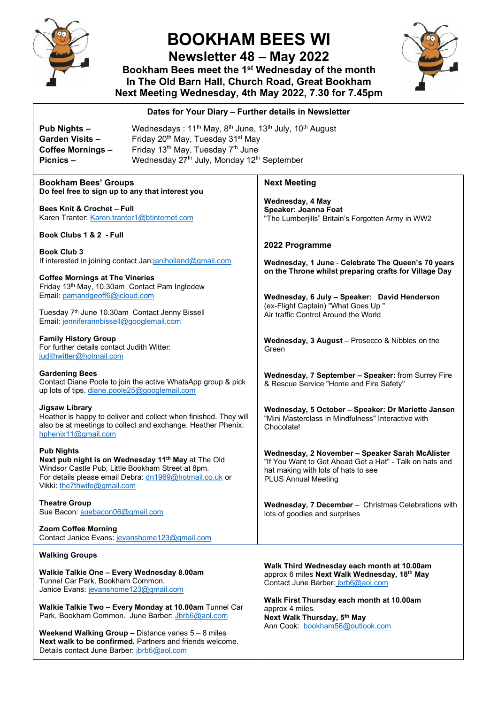

### **BOOKHAM BEES WI**

**Newsletter 48 – May 2022** 

**Bookham Bees meet the 1st Wednesday of the month In The Old Barn Hall, Church Road, Great Bookham Next Meeting Wednesday, 4th May 2022, 7.30 for 7.45pm**



#### **Bookham Bees' Groups Do feel free to sign up to any that interest you Bees Knit & Crochet – Full** Karen Tranter[: Karen.tranter1@btinternet.com](mailto:Karen.tranter1@btinternet.com) **Book Clubs 1 & 2 - Full Book Club 3** If interested in joining contact Jan[:janiholland@gmail.com](mailto:janiholland@gmail.com)  **Coffee Mornings at The Vineries** Friday 13th May, 10.30am Contact Pam Ingledew Email[: pamandgeoff6@icloud.com](mailto:pamandgeoff6@icloud.com) Tuesday 7th June 10.30am Contact Jenny Bissell Email[: jenniferannbissell@googlemail.com](mailto:jenniferannbissell@googlemail.com) **Family History Group**  For further details contact Judith Witter: [judithwitter@hotmail.com](mailto:judithwitter@hotmail.com) **Gardening Bees**  Contact Diane Poole to join the active WhatsApp group & pick up lots of tips. [diane.poole25@googlemail.com](mailto:diane.poole25@googlemail.com) **Jigsaw Library**  Heather is happy to deliver and collect when finished. They will also be at meetings to collect and exchange. Heather Phenix: [hphenix11@gmail.com](mailto:hphenix11@gmail.com) **Pub Nights Next pub night is on Wednesday 11th May** at The Old Windsor Castle Pub, Little Bookham Street at 8pm. For details please email Debra: [dn1969@hotmail.co.uk](mailto:dn1969@hotmail.co.uk) or Vikki: [the7thwife@gmail.com](mailto:the7thwife@gmail.com) **Theatre Group** Sue Bacon: [suebacon06@gmail.com](mailto:suebacon06@gmail.com)  **Zoom Coffee Morning** Contact Janice Evans: [jevanshome123@gmail.com](mailto:jevanshome123@gmail.com) **Walking Groups Walkie Talkie One – Every Wednesday 8.00am** Tunnel Car Park, Bookham Common. Janice Evans[: jevanshome123@gmail.com](mailto:jevanshome123@gmail.com) **Walkie Talkie Two – Every Monday at 10.00am** Tunnel Car Park, Bookham Common. June Barber: [Jbrb6@aol.com](mailto:Jbrb6@aol.com) **Weekend Walking Group –** Distance varies 5 – 8 miles **Next Meeting Wednesday, 4 May Speaker: Joanna Foat** "The Lumberjills" Britain's Forgotten Army in WW2 **2022 Programme Wednesday, 1 June** - **Celebrate The Queen's 70 years on the Throne whilst preparing crafts for Village Day Wednesday, 6 July – Speaker: David Henderson** (ex-Flight Captain) "What Goes Up " Air traffic Control Around the World **Wednesday, 3 August** – Prosecco & Nibbles on the Green **Wednesday, 7 September – Speaker:** from Surrey Fire & Rescue Service "Home and Fire Safety" **Wednesday, 5 October – Speaker: Dr Mariette Jansen** "Mini Masterclass in Mindfulness" Interactive with Chocolate! **Wednesday, 2 November – Speaker Sarah McAlister** "If You Want to Get Ahead Get a Hat" - Talk on hats and hat making with lots of hats to see PLUS Annual Meeting **Wednesday, 7 December** – Christmas Celebrations with lots of goodies and surprises **Walk Third Wednesday each month at 10.00am** approx 6 miles **Next Walk Wednesday, 18th May** Contact June Barber: [jbrb6@aol.com](mailto:jbrb6@aol.com) **Walk First Thursday each month at 10.00am**  approx 4 miles. **Next Walk Thursday, 5th May** Ann Cook: [bookham56@outlook.com](mailto:bookham56@outlook.com) **Dates for Your Diary – Further details in Newsletter Pub Nights – Wednesdays : 11<sup>th</sup> May, 8<sup>th</sup> June, 13<sup>th</sup> July, 10<sup>th</sup> August** Garden Visits – Friday 20<sup>th</sup> May, Tuesday 31<sup>st</sup> May **Coffee Mornings –** Friday 13<sup>th</sup> May, Tuesday 7<sup>th</sup> June<br>**Picnics – Wednesday 27<sup>th</sup> July Monday 12<sup>tt</sup>** Wednesday 27<sup>th</sup> July, Monday 12<sup>th</sup> September

**Next walk to be confirmed.** Partners and friends welcome.

Details contact June Barber: [jbrb6@aol.com](mailto:jbrb6@aol.com)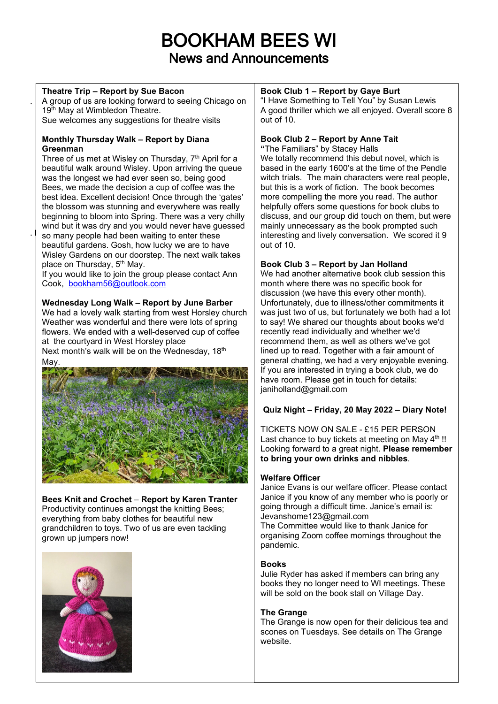## BOOKHAM BEES WI News and Announcements

#### **Theatre Trip – Report by Sue Bacon**

.

A group of us are looking forward to seeing Chicago on 19<sup>th</sup> May at Wimbledon Theatre. Sue welcomes any suggestions for theatre visits

#### **Monthly Thursday Walk – Report by Diana Greenman**

 $\cdot$  so many people had been waiting to enter these Three of us met at Wisley on Thursday, 7<sup>th</sup> April for a beautiful walk around Wisley. Upon arriving the queue was the longest we had ever seen so, being good Bees, we made the decision a cup of coffee was the best idea. Excellent decision! Once through the 'gates' the blossom was stunning and everywhere was really beginning to bloom into Spring. There was a very chilly wind but it was dry and you would never have quessed beautiful gardens. Gosh, how lucky we are to have Wisley Gardens on our doorstep. The next walk takes place on Thursday, 5<sup>th</sup> May.

If you would like to join the group please contact Ann Cook, [bookham56@outlook.com](mailto:bookham56@outlook.com)

#### **Wednesday Long Walk – Report by June Barber**

We had a lovely walk starting from west Horsley church Weather was wonderful and there were lots of spring flowers. We ended with a well-deserved cup of coffee at the courtyard in West Horsley place Next month's walk will be on the Wednesday, 18th



### **Bees Knit and Crochet** – **Report by Karen Tranter**

Productivity continues amongst the knitting Bees; everything from baby clothes for beautiful new grandchildren to toys. Two of us are even tackling grown up jumpers now!



#### **Book Club 1 – Report by Gaye Burt**

"I Have Something to Tell You" by Susan Lewis A good thriller which we all enjoyed. Overall score 8 out of 10.

#### **Book Club 2 – Report by Anne Tait**

**"**The Familiars" by Stacey Halls We totally recommend this debut novel, which is based in the early 1600's at the time of the Pendle witch trials. The main characters were real people, but this is a work of fiction. The book becomes more compelling the more you read. The author helpfully offers some questions for book clubs to discuss, and our group did touch on them, but were mainly unnecessary as the book prompted such interesting and lively conversation. We scored it 9 out of 10.

#### **Book Club 3 – Report by Jan Holland**

We had another alternative book club session this month where there was no specific book for discussion (we have this every other month). Unfortunately, due to illness/other commitments it was just two of us, but fortunately we both had a lot to say! We shared our thoughts about books we'd recently read individually and whether we'd recommend them, as well as others we've got lined up to read. Together with a fair amount of general chatting, we had a very enjoyable evening. If you are interested in trying a book club, we do have room. Please get in touch for details: janiholland@gmail.com

#### **Quiz Night – Friday, 20 May 2022 – Diary Note!**

TICKETS NOW ON SALE - £15 PER PERSON Last chance to buy tickets at meeting on May  $4<sup>th</sup>$ !! Looking forward to a great night. **Please remember to bring your own drinks and nibbles**.

#### **Welfare Officer**

Janice Evans is our welfare officer. Please contact Janice if you know of any member who is poorly or going through a difficult time. Janice's email is: Jevanshome123@gmail.com

The Committee would like to thank Janice for organising Zoom coffee mornings throughout the pandemic.

#### **Books**

Julie Ryder has asked if members can bring any books they no longer need to WI meetings. These will be sold on the book stall on Village Day.

#### **The Grange**

The Grange is now open for their delicious tea and scones on Tuesdays. See details on The Grange website.